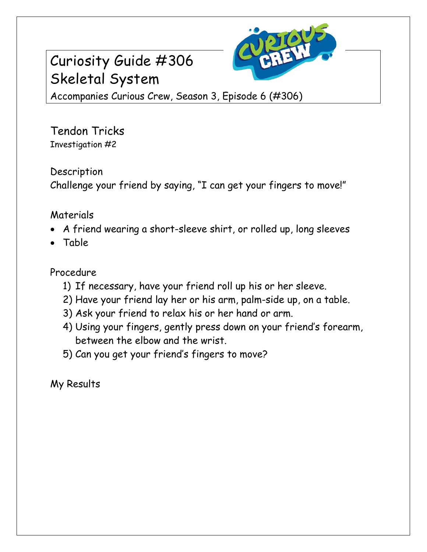# Curiosity Guide #306 Skeletal System



Accompanies Curious Crew, Season 3, Episode 6 (#306)

Tendon Tricks Investigation #2

### Description

Challenge your friend by saying, "I can get your fingers to move!"

# **Materials**

- A friend wearing a short-sleeve shirt, or rolled up, long sleeves
- Table

## Procedure

- 1) If necessary, have your friend roll up his or her sleeve.
- 2) Have your friend lay her or his arm, palm-side up, on a table.
- 3) Ask your friend to relax his or her hand or arm.
- 4) Using your fingers, gently press down on your friend's forearm, between the elbow and the wrist.
- 5) Can you get your friend's fingers to move?

My Results